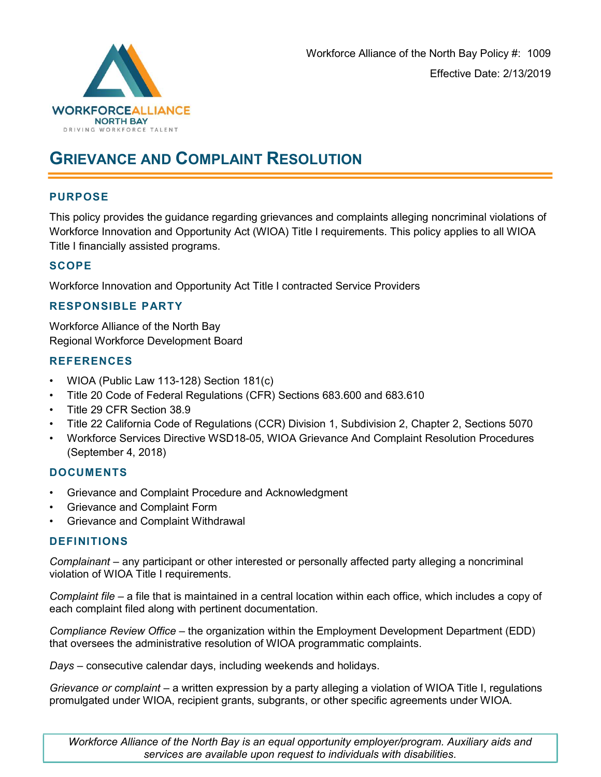

# GRIEVANCE AND COMPLAINT RESOLUTION

## PURPOSE

This policy provides the guidance regarding grievances and complaints alleging noncriminal violations of Workforce Innovation and Opportunity Act (WIOA) Title I requirements. This policy applies to all WIOA Title I financially assisted programs.

## **SCOPE**

Workforce Innovation and Opportunity Act Title I contracted Service Providers

### RESPONSIBLE PARTY

Workforce Alliance of the North Bay Regional Workforce Development Board

### **REFERENCES**

- WIOA (Public Law 113-128) Section 181(c)
- Title 20 Code of Federal Regulations (CFR) Sections 683.600 and 683.610
- Title 29 CFR Section 38.9
- Title 22 California Code of Regulations (CCR) Division 1, Subdivision 2, Chapter 2, Sections 5070
- Workforce Services Directive WSD18-05, WIOA Grievance And Complaint Resolution Procedures (September 4, 2018)

### DOCUMENTS

- Grievance and Complaint Procedure and Acknowledgment
- Grievance and Complaint Form
- Grievance and Complaint Withdrawal

### DEFINITIONS

Complainant – any participant or other interested or personally affected party alleging a noncriminal violation of WIOA Title I requirements.

Complaint file – a file that is maintained in a central location within each office, which includes a copy of each complaint filed along with pertinent documentation.

Compliance Review Office – the organization within the Employment Development Department (EDD) that oversees the administrative resolution of WIOA programmatic complaints.

Days – consecutive calendar days, including weekends and holidays.

Grievance or complaint – a written expression by a party alleging a violation of WIOA Title I, regulations promulgated under WIOA, recipient grants, subgrants, or other specific agreements under WIOA.

Workforce Alliance of the North Bay is an equal opportunity employer/program. Auxiliary aids and services are available upon request to individuals with disabilities.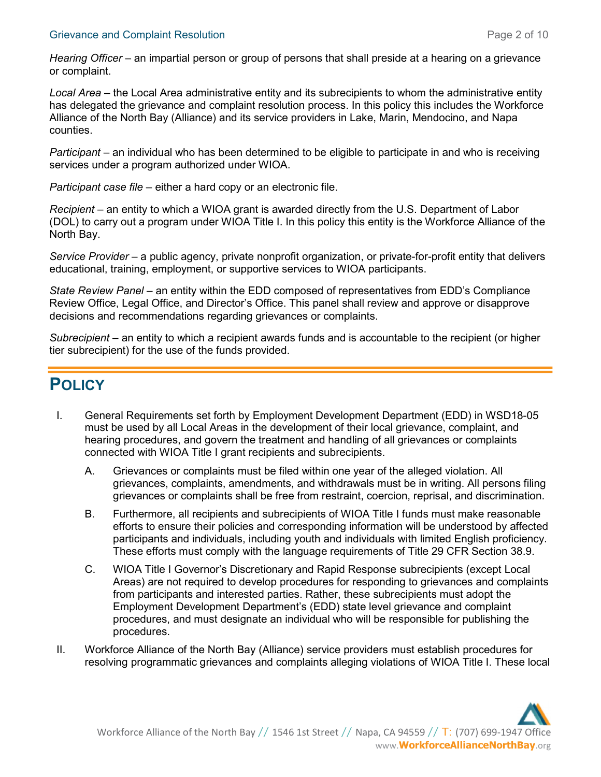#### Grievance and Complaint Resolution **Page 2 of 10** Series and Page 2 of 10

Hearing Officer – an impartial person or group of persons that shall preside at a hearing on a grievance or complaint.

Local Area – the Local Area administrative entity and its subrecipients to whom the administrative entity has delegated the grievance and complaint resolution process. In this policy this includes the Workforce Alliance of the North Bay (Alliance) and its service providers in Lake, Marin, Mendocino, and Napa counties.

Participant – an individual who has been determined to be eligible to participate in and who is receiving services under a program authorized under WIOA.

Participant case file – either a hard copy or an electronic file.

Recipient – an entity to which a WIOA grant is awarded directly from the U.S. Department of Labor (DOL) to carry out a program under WIOA Title I. In this policy this entity is the Workforce Alliance of the North Bay.

Service Provider – a public agency, private nonprofit organization, or private-for-profit entity that delivers educational, training, employment, or supportive services to WIOA participants.

State Review Panel – an entity within the EDD composed of representatives from EDD's Compliance Review Office, Legal Office, and Director's Office. This panel shall review and approve or disapprove decisions and recommendations regarding grievances or complaints.

Subrecipient – an entity to which a recipient awards funds and is accountable to the recipient (or higher tier subrecipient) for the use of the funds provided.

## **POLICY**

- I. General Requirements set forth by Employment Development Department (EDD) in WSD18-05 must be used by all Local Areas in the development of their local grievance, complaint, and hearing procedures, and govern the treatment and handling of all grievances or complaints connected with WIOA Title I grant recipients and subrecipients.
	- A. Grievances or complaints must be filed within one year of the alleged violation. All grievances, complaints, amendments, and withdrawals must be in writing. All persons filing grievances or complaints shall be free from restraint, coercion, reprisal, and discrimination.
	- B. Furthermore, all recipients and subrecipients of WIOA Title I funds must make reasonable efforts to ensure their policies and corresponding information will be understood by affected participants and individuals, including youth and individuals with limited English proficiency. These efforts must comply with the language requirements of Title 29 CFR Section 38.9.
	- C. WIOA Title I Governor's Discretionary and Rapid Response subrecipients (except Local Areas) are not required to develop procedures for responding to grievances and complaints from participants and interested parties. Rather, these subrecipients must adopt the Employment Development Department's (EDD) state level grievance and complaint procedures, and must designate an individual who will be responsible for publishing the procedures.
- II. Workforce Alliance of the North Bay (Alliance) service providers must establish procedures for resolving programmatic grievances and complaints alleging violations of WIOA Title I. These local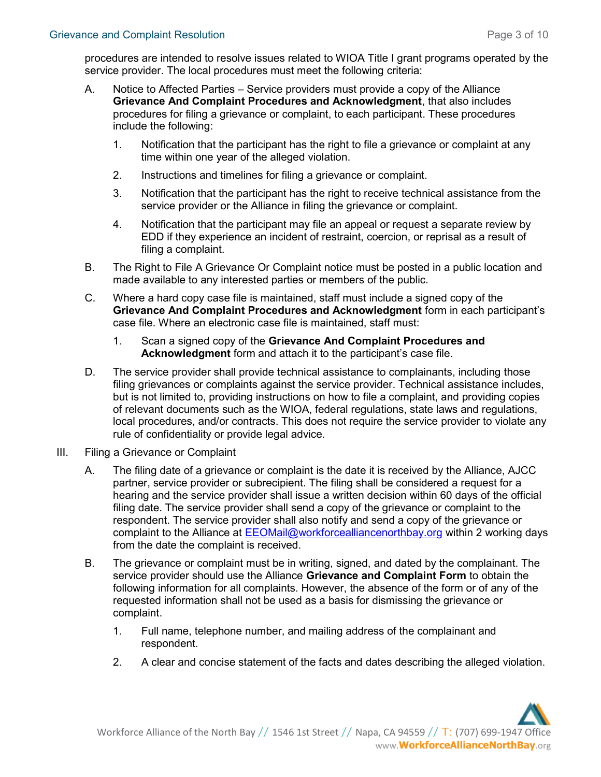procedures are intended to resolve issues related to WIOA Title I grant programs operated by the service provider. The local procedures must meet the following criteria:

- A. Notice to Affected Parties Service providers must provide a copy of the Alliance Grievance And Complaint Procedures and Acknowledgment, that also includes procedures for filing a grievance or complaint, to each participant. These procedures include the following:
	- 1. Notification that the participant has the right to file a grievance or complaint at any time within one year of the alleged violation.
	- 2. Instructions and timelines for filing a grievance or complaint.
	- 3. Notification that the participant has the right to receive technical assistance from the service provider or the Alliance in filing the grievance or complaint.
	- 4. Notification that the participant may file an appeal or request a separate review by EDD if they experience an incident of restraint, coercion, or reprisal as a result of filing a complaint.
- B. The Right to File A Grievance Or Complaint notice must be posted in a public location and made available to any interested parties or members of the public.
- C. Where a hard copy case file is maintained, staff must include a signed copy of the Grievance And Complaint Procedures and Acknowledgment form in each participant's case file. Where an electronic case file is maintained, staff must:
	- 1. Scan a signed copy of the Grievance And Complaint Procedures and Acknowledgment form and attach it to the participant's case file.
- D. The service provider shall provide technical assistance to complainants, including those filing grievances or complaints against the service provider. Technical assistance includes, but is not limited to, providing instructions on how to file a complaint, and providing copies of relevant documents such as the WIOA, federal regulations, state laws and regulations, local procedures, and/or contracts. This does not require the service provider to violate any rule of confidentiality or provide legal advice.
- III. Filing a Grievance or Complaint
	- A. The filing date of a grievance or complaint is the date it is received by the Alliance, AJCC partner, service provider or subrecipient. The filing shall be considered a request for a hearing and the service provider shall issue a written decision within 60 days of the official filing date. The service provider shall send a copy of the grievance or complaint to the respondent. The service provider shall also notify and send a copy of the grievance or complaint to the Alliance at EEOMail@workforcealliancenorthbay.org within 2 working days from the date the complaint is received.
	- B. The grievance or complaint must be in writing, signed, and dated by the complainant. The service provider should use the Alliance Grievance and Complaint Form to obtain the following information for all complaints. However, the absence of the form or of any of the requested information shall not be used as a basis for dismissing the grievance or complaint.
		- 1. Full name, telephone number, and mailing address of the complainant and respondent.
		- 2. A clear and concise statement of the facts and dates describing the alleged violation.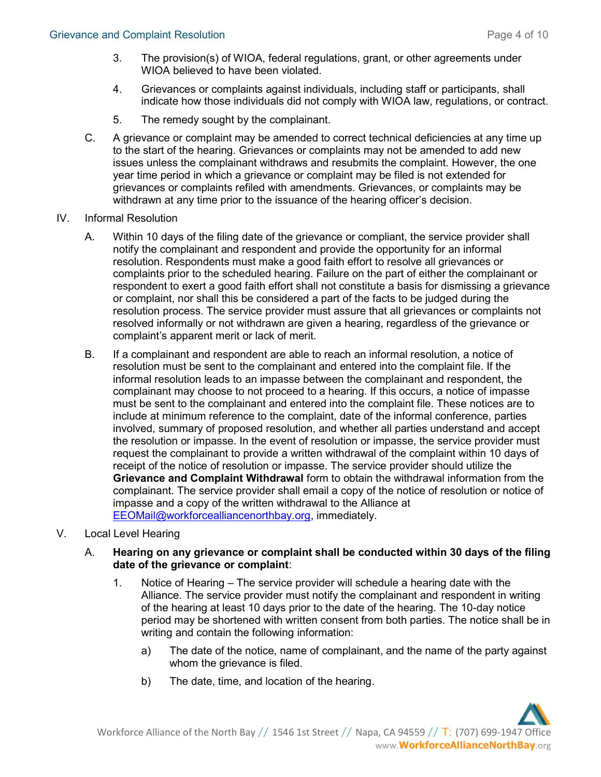- 3. The provision(s) of WIOA, federal regulations, grant, or other agreements under WIOA believed to have been violated.
- 4. Grievances or complaints against individuals, including staff or participants, shall indicate how those individuals did not comply with WIOA law, regulations, or contract.
- 5. The remedy sought by the complainant.
- C. A grievance or complaint may be amended to correct technical deficiencies at any time up to the start of the hearing. Grievances or complaints may not be amended to add new issues unless the complainant withdraws and resubmits the complaint. However, the one year time period in which a grievance or complaint may be filed is not extended for grievances or complaints refiled with amendments. Grievances, or complaints may be withdrawn at any time prior to the issuance of the hearing officer's decision.
- IV. Informal Resolution
	- A. Within 10 days of the filing date of the grievance or compliant, the service provider shall notify the complainant and respondent and provide the opportunity for an informal resolution. Respondents must make a good faith effort to resolve all grievances or complaints prior to the scheduled hearing. Failure on the part of either the complainant or respondent to exert a good faith effort shall not constitute a basis for dismissing a grievance or complaint, nor shall this be considered a part of the facts to be judged during the resolution process. The service provider must assure that all grievances or complaints not resolved informally or not withdrawn are given a hearing, regardless of the grievance or complaint's apparent merit or lack of merit.
	- B. If a complainant and respondent are able to reach an informal resolution, a notice of resolution must be sent to the complainant and entered into the complaint file. If the informal resolution leads to an impasse between the complainant and respondent, the complainant may choose to not proceed to a hearing. If this occurs, a notice of impasse must be sent to the complainant and entered into the complaint file. These notices are to include at minimum reference to the complaint, date of the informal conference, parties involved, summary of proposed resolution, and whether all parties understand and accept the resolution or impasse. In the event of resolution or impasse, the service provider must request the complainant to provide a written withdrawal of the complaint within 10 days of receipt of the notice of resolution or impasse. The service provider should utilize the Grievance and Complaint Withdrawal form to obtain the withdrawal information from the complainant. The service provider shall email a copy of the notice of resolution or notice of impasse and a copy of the written withdrawal to the Alliance at EEOMail@workforcealliancenorthbay.org, immediately.

#### V. Local Level Hearing

- A. Hearing on any grievance or complaint shall be conducted within 30 days of the filing date of the grievance or complaint:
	- 1. Notice of Hearing The service provider will schedule a hearing date with the Alliance. The service provider must notify the complainant and respondent in writing of the hearing at least 10 days prior to the date of the hearing. The 10-day notice period may be shortened with written consent from both parties. The notice shall be in writing and contain the following information:
		- a) The date of the notice, name of complainant, and the name of the party against whom the grievance is filed.
		- b) The date, time, and location of the hearing.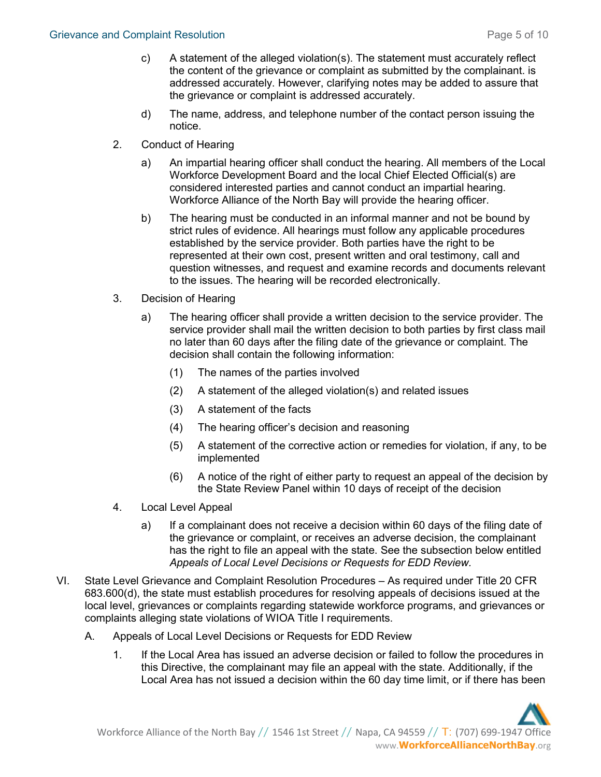- c) A statement of the alleged violation(s). The statement must accurately reflect the content of the grievance or complaint as submitted by the complainant. is addressed accurately. However, clarifying notes may be added to assure that the grievance or complaint is addressed accurately.
- d) The name, address, and telephone number of the contact person issuing the notice.
- 2. Conduct of Hearing
	- a) An impartial hearing officer shall conduct the hearing. All members of the Local Workforce Development Board and the local Chief Elected Official(s) are considered interested parties and cannot conduct an impartial hearing. Workforce Alliance of the North Bay will provide the hearing officer.
	- b) The hearing must be conducted in an informal manner and not be bound by strict rules of evidence. All hearings must follow any applicable procedures established by the service provider. Both parties have the right to be represented at their own cost, present written and oral testimony, call and question witnesses, and request and examine records and documents relevant to the issues. The hearing will be recorded electronically.
- 3. Decision of Hearing
	- a) The hearing officer shall provide a written decision to the service provider. The service provider shall mail the written decision to both parties by first class mail no later than 60 days after the filing date of the grievance or complaint. The decision shall contain the following information:
		- (1) The names of the parties involved
		- (2) A statement of the alleged violation(s) and related issues
		- (3) A statement of the facts
		- (4) The hearing officer's decision and reasoning
		- (5) A statement of the corrective action or remedies for violation, if any, to be implemented
		- (6) A notice of the right of either party to request an appeal of the decision by the State Review Panel within 10 days of receipt of the decision
- 4. Local Level Appeal
	- a) If a complainant does not receive a decision within 60 days of the filing date of the grievance or complaint, or receives an adverse decision, the complainant has the right to file an appeal with the state. See the subsection below entitled Appeals of Local Level Decisions or Requests for EDD Review.
- VI. State Level Grievance and Complaint Resolution Procedures As required under Title 20 CFR 683.600(d), the state must establish procedures for resolving appeals of decisions issued at the local level, grievances or complaints regarding statewide workforce programs, and grievances or complaints alleging state violations of WIOA Title I requirements.
	- A. Appeals of Local Level Decisions or Requests for EDD Review
		- 1. If the Local Area has issued an adverse decision or failed to follow the procedures in this Directive, the complainant may file an appeal with the state. Additionally, if the Local Area has not issued a decision within the 60 day time limit, or if there has been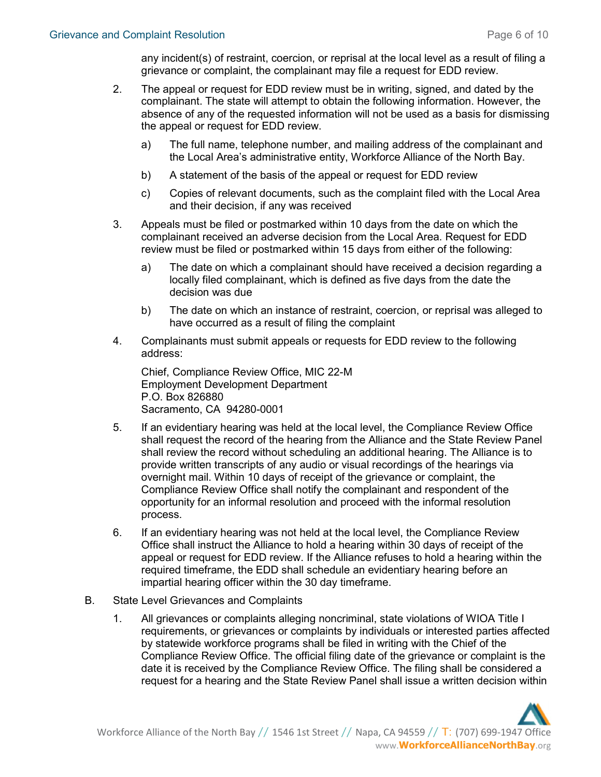any incident(s) of restraint, coercion, or reprisal at the local level as a result of filing a grievance or complaint, the complainant may file a request for EDD review.

- 2. The appeal or request for EDD review must be in writing, signed, and dated by the complainant. The state will attempt to obtain the following information. However, the absence of any of the requested information will not be used as a basis for dismissing the appeal or request for EDD review.
	- a) The full name, telephone number, and mailing address of the complainant and the Local Area's administrative entity, Workforce Alliance of the North Bay.
	- b) A statement of the basis of the appeal or request for EDD review
	- c) Copies of relevant documents, such as the complaint filed with the Local Area and their decision, if any was received
- 3. Appeals must be filed or postmarked within 10 days from the date on which the complainant received an adverse decision from the Local Area. Request for EDD review must be filed or postmarked within 15 days from either of the following:
	- a) The date on which a complainant should have received a decision regarding a locally filed complainant, which is defined as five days from the date the decision was due
	- b) The date on which an instance of restraint, coercion, or reprisal was alleged to have occurred as a result of filing the complaint
- 4. Complainants must submit appeals or requests for EDD review to the following address:

Chief, Compliance Review Office, MIC 22-M Employment Development Department P.O. Box 826880 Sacramento, CA 94280-0001

- 5. If an evidentiary hearing was held at the local level, the Compliance Review Office shall request the record of the hearing from the Alliance and the State Review Panel shall review the record without scheduling an additional hearing. The Alliance is to provide written transcripts of any audio or visual recordings of the hearings via overnight mail. Within 10 days of receipt of the grievance or complaint, the Compliance Review Office shall notify the complainant and respondent of the opportunity for an informal resolution and proceed with the informal resolution process.
- 6. If an evidentiary hearing was not held at the local level, the Compliance Review Office shall instruct the Alliance to hold a hearing within 30 days of receipt of the appeal or request for EDD review. If the Alliance refuses to hold a hearing within the required timeframe, the EDD shall schedule an evidentiary hearing before an impartial hearing officer within the 30 day timeframe.
- B. State Level Grievances and Complaints
	- 1. All grievances or complaints alleging noncriminal, state violations of WIOA Title I requirements, or grievances or complaints by individuals or interested parties affected by statewide workforce programs shall be filed in writing with the Chief of the Compliance Review Office. The official filing date of the grievance or complaint is the date it is received by the Compliance Review Office. The filing shall be considered a request for a hearing and the State Review Panel shall issue a written decision within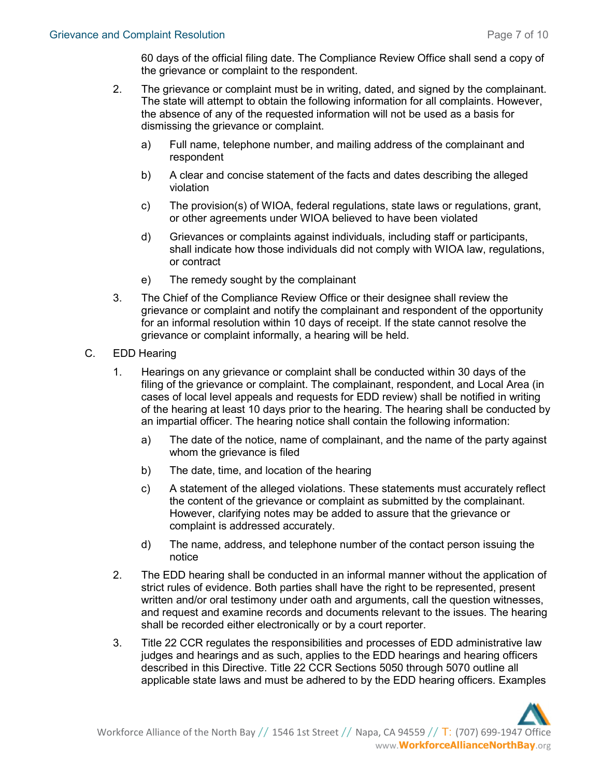60 days of the official filing date. The Compliance Review Office shall send a copy of the grievance or complaint to the respondent.

- 2. The grievance or complaint must be in writing, dated, and signed by the complainant. The state will attempt to obtain the following information for all complaints. However, the absence of any of the requested information will not be used as a basis for dismissing the grievance or complaint.
	- a) Full name, telephone number, and mailing address of the complainant and respondent
	- b) A clear and concise statement of the facts and dates describing the alleged violation
	- c) The provision(s) of WIOA, federal regulations, state laws or regulations, grant, or other agreements under WIOA believed to have been violated
	- d) Grievances or complaints against individuals, including staff or participants, shall indicate how those individuals did not comply with WIOA law, regulations, or contract
	- e) The remedy sought by the complainant
- 3. The Chief of the Compliance Review Office or their designee shall review the grievance or complaint and notify the complainant and respondent of the opportunity for an informal resolution within 10 days of receipt. If the state cannot resolve the grievance or complaint informally, a hearing will be held.
- C. EDD Hearing
	- 1. Hearings on any grievance or complaint shall be conducted within 30 days of the filing of the grievance or complaint. The complainant, respondent, and Local Area (in cases of local level appeals and requests for EDD review) shall be notified in writing of the hearing at least 10 days prior to the hearing. The hearing shall be conducted by an impartial officer. The hearing notice shall contain the following information:
		- a) The date of the notice, name of complainant, and the name of the party against whom the grievance is filed
		- b) The date, time, and location of the hearing
		- c) A statement of the alleged violations. These statements must accurately reflect the content of the grievance or complaint as submitted by the complainant. However, clarifying notes may be added to assure that the grievance or complaint is addressed accurately.
		- d) The name, address, and telephone number of the contact person issuing the notice
	- 2. The EDD hearing shall be conducted in an informal manner without the application of strict rules of evidence. Both parties shall have the right to be represented, present written and/or oral testimony under oath and arguments, call the question witnesses, and request and examine records and documents relevant to the issues. The hearing shall be recorded either electronically or by a court reporter.
	- 3. Title 22 CCR regulates the responsibilities and processes of EDD administrative law judges and hearings and as such, applies to the EDD hearings and hearing officers described in this Directive. Title 22 CCR Sections 5050 through 5070 outline all applicable state laws and must be adhered to by the EDD hearing officers. Examples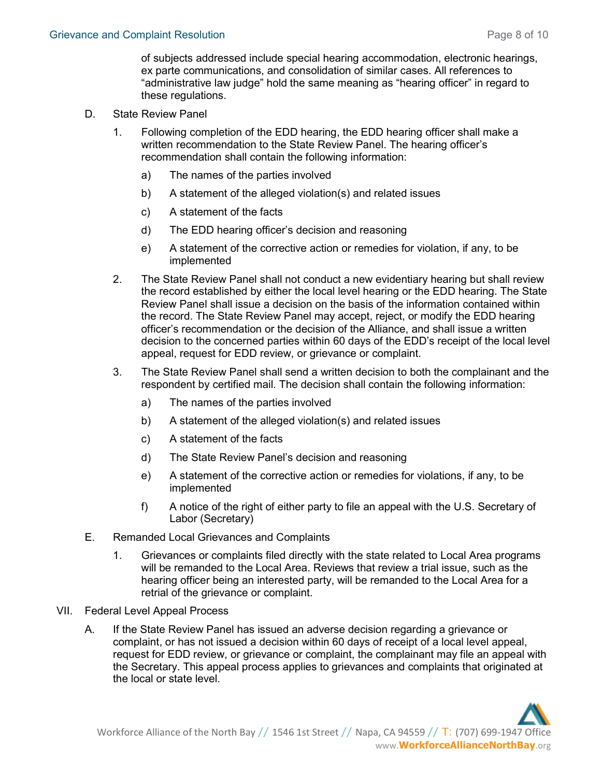of subjects addressed include special hearing accommodation, electronic hearings, ex parte communications, and consolidation of similar cases. All references to "administrative law judge" hold the same meaning as "hearing officer" in regard to these regulations.

- D. State Review Panel
	- 1. Following completion of the EDD hearing, the EDD hearing officer shall make a written recommendation to the State Review Panel. The hearing officer's recommendation shall contain the following information:
		- a) The names of the parties involved
		- b) A statement of the alleged violation(s) and related issues
		- c) A statement of the facts
		- d) The EDD hearing officer's decision and reasoning
		- e) A statement of the corrective action or remedies for violation, if any, to be implemented
	- 2. The State Review Panel shall not conduct a new evidentiary hearing but shall review the record established by either the local level hearing or the EDD hearing. The State Review Panel shall issue a decision on the basis of the information contained within the record. The State Review Panel may accept, reject, or modify the EDD hearing officer's recommendation or the decision of the Alliance, and shall issue a written decision to the concerned parties within 60 days of the EDD's receipt of the local level appeal, request for EDD review, or grievance or complaint.
	- 3. The State Review Panel shall send a written decision to both the complainant and the respondent by certified mail. The decision shall contain the following information:
		- a) The names of the parties involved
		- b) A statement of the alleged violation(s) and related issues
		- c) A statement of the facts
		- d) The State Review Panel's decision and reasoning
		- e) A statement of the corrective action or remedies for violations, if any, to be implemented
		- f) A notice of the right of either party to file an appeal with the U.S. Secretary of Labor (Secretary)
- E. Remanded Local Grievances and Complaints
	- 1. Grievances or complaints filed directly with the state related to Local Area programs will be remanded to the Local Area. Reviews that review a trial issue, such as the hearing officer being an interested party, will be remanded to the Local Area for a retrial of the grievance or complaint.
- VII. Federal Level Appeal Process
	- A. If the State Review Panel has issued an adverse decision regarding a grievance or complaint, or has not issued a decision within 60 days of receipt of a local level appeal, request for EDD review, or grievance or complaint, the complainant may file an appeal with the Secretary. This appeal process applies to grievances and complaints that originated at the local or state level.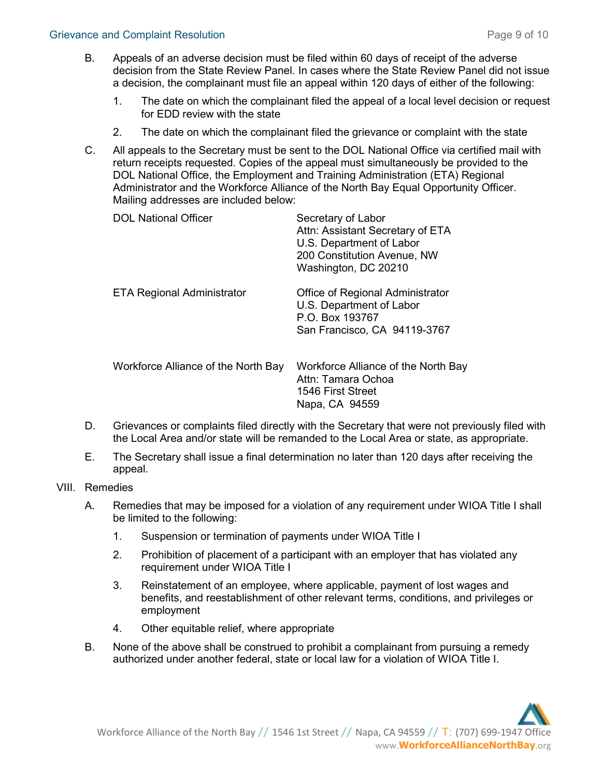- B. Appeals of an adverse decision must be filed within 60 days of receipt of the adverse decision from the State Review Panel. In cases where the State Review Panel did not issue a decision, the complainant must file an appeal within 120 days of either of the following:
	- 1. The date on which the complainant filed the appeal of a local level decision or request for EDD review with the state
	- 2. The date on which the complainant filed the grievance or complaint with the state
- C. All appeals to the Secretary must be sent to the DOL National Office via certified mail with return receipts requested. Copies of the appeal must simultaneously be provided to the DOL National Office, the Employment and Training Administration (ETA) Regional Administrator and the Workforce Alliance of the North Bay Equal Opportunity Officer. Mailing addresses are included below:

| <b>DOL National Officer</b>         | Secretary of Labor<br>Attn: Assistant Secretary of ETA<br>U.S. Department of Labor<br>200 Constitution Avenue, NW<br>Washington, DC 20210 |
|-------------------------------------|-------------------------------------------------------------------------------------------------------------------------------------------|
| <b>ETA Regional Administrator</b>   | Office of Regional Administrator<br>U.S. Department of Labor<br>P.O. Box 193767<br>San Francisco, CA 94119-3767                           |
| Workforce Alliance of the North Bay | Workforce Alliance of the North Bay<br>Attn: Tamara Ochoa<br>1546 First Street<br>Napa, CA 94559                                          |

- D. Grievances or complaints filed directly with the Secretary that were not previously filed with the Local Area and/or state will be remanded to the Local Area or state, as appropriate.
- E. The Secretary shall issue a final determination no later than 120 days after receiving the appeal.
- VIII. Remedies
	- A. Remedies that may be imposed for a violation of any requirement under WIOA Title I shall be limited to the following:
		- 1. Suspension or termination of payments under WIOA Title I
		- 2. Prohibition of placement of a participant with an employer that has violated any requirement under WIOA Title I
		- 3. Reinstatement of an employee, where applicable, payment of lost wages and benefits, and reestablishment of other relevant terms, conditions, and privileges or employment
		- 4. Other equitable relief, where appropriate
	- B. None of the above shall be construed to prohibit a complainant from pursuing a remedy authorized under another federal, state or local law for a violation of WIOA Title I.